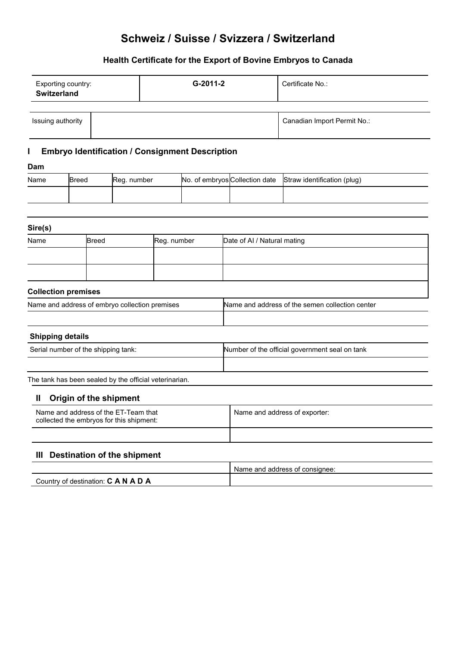# **Schweiz / Suisse / Svizzera / Switzerland**

# **Health Certificate for the Export of Bovine Embryos to Canada**

| Exporting country:<br><b>Switzerland</b> |  | G-2011-2 | Certificate No.:            |
|------------------------------------------|--|----------|-----------------------------|
| Issuing authority                        |  |          | Canadian Import Permit No.: |
|                                          |  |          |                             |

# **I Embryo Identification / Consignment Description**

### **Dam**

| Name | Breed | Reg. number |  | No. of embryos Collection date Straw identification (plug) |
|------|-------|-------------|--|------------------------------------------------------------|
|      |       |             |  |                                                            |

| Sire(s)                                        |              |             |                                                 |  |
|------------------------------------------------|--------------|-------------|-------------------------------------------------|--|
| Name                                           | <b>Breed</b> | Reg. number | Date of AI / Natural mating                     |  |
|                                                |              |             |                                                 |  |
|                                                |              |             |                                                 |  |
| <b>Collection premises</b>                     |              |             |                                                 |  |
| Name and address of embryo collection premises |              |             | Name and address of the semen collection center |  |
|                                                |              |             |                                                 |  |
| Ohinaina dataila                               |              |             |                                                 |  |

#### **Shipping details**

| Serial number of the shipping tank: | Number of the official government seal on tank |  |
|-------------------------------------|------------------------------------------------|--|
|                                     |                                                |  |

The tank has been sealed by the official veterinarian.

### **II Origin of the shipment**

| Name and address of the ET-Team that<br>collected the embryos for this shipment: | Name and address of exporter: |
|----------------------------------------------------------------------------------|-------------------------------|
|                                                                                  |                               |

## **III Destination of the shipment**

|                                                 | ; of consianee:<br>Name and<br>address |
|-------------------------------------------------|----------------------------------------|
| A N<br>Countrv of<br>≒destination: √<br>A<br>ı. |                                        |